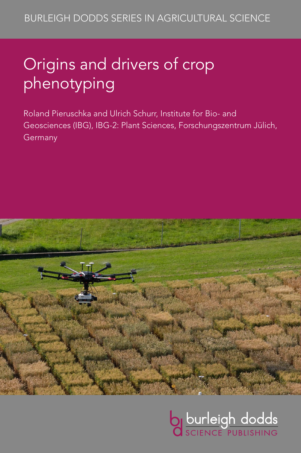# Origins and drivers of crop phenotyping

Roland Pieruschka and Ulrich Schurr, Institute for Bio- and Geosciences (IBG), IBG-2: Plant Sciences, Forschungszentrum Jülich, Germany



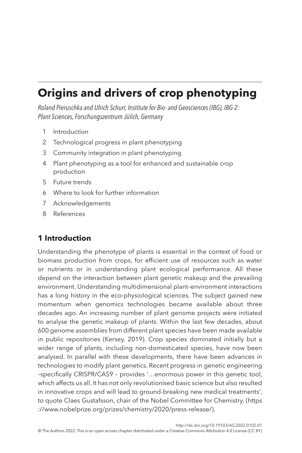# **Origins and drivers of crop phenotyping**

*Roland Pieruschka and Ulrich Schurr, Institute for Bio- and Geosciences (IBG), IBG-2: Plant Sciences, Forschungszentrum Jülich, Germany*

- <span id="page-1-1"></span>1 [Introduction](#page-1-0)
- <span id="page-1-2"></span>2 [Technological progress in plant phenotyping](#page-4-0)
- <span id="page-1-3"></span>3 [Community integration in plant phenotyping](#page-7-0)
- <span id="page-1-4"></span>4 [Plant phenotyping as a tool for enhanced and sustainable crop](#page-12-0)  [production](#page-12-0)
- <span id="page-1-5"></span>5 [Future trends](#page-17-0)
- <span id="page-1-6"></span>6 [Where to look for further information](#page-18-0)
- <span id="page-1-7"></span>7 [Acknowledgements](#page-19-0)
- <span id="page-1-8"></span>8 [References](#page-19-1)

# <span id="page-1-0"></span>**[1 Introduction](#page-1-1)**

Understanding the phenotype of plants is essential in the context of food or biomass production from crops, for efficient use of resources such as water or nutrients or in understanding plant ecological performance. All these depend on the interaction between plant genetic makeup and the prevailing environment. Understanding multidimensional plant–environment interactions has a long history in the eco-physiological sciences. The subject gained new momentum when genomics technologies became available about three decades ago. An increasing number of plant genome projects were initiated to analyse the genetic makeup of plants. Within the last few decades, about 600 genome assemblies from different plant species have been made available in public repositories ([Kersey, 2019](#page-21-0)). Crop species dominated initially but a wider range of plants, including non-domesticated species, have now been analysed. In parallel with these developments, there have been advances in technologies to modify plant genetics. Recent progress in genetic engineering –specifically CRISPR/CAS9 – provides ʻ…enormous power in this genetic tool, which affects us all. It has not only revolutionised basic science but also resulted in innovative crops and will lead to ground-breaking new medical treatments', to quote Claes Gustafsson, chair of the Nobel Committee for Chemistry. (https) ://www.nobelprize.org/prizes/chemistry/2020/press-release/).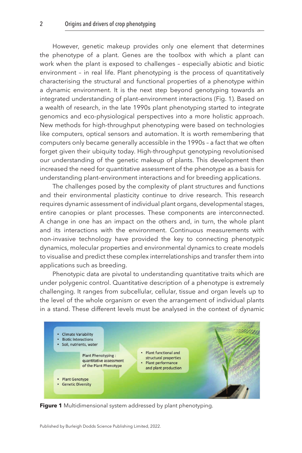<span id="page-2-0"></span>However, genetic makeup provides only one element that determines the phenotype of a plant. Genes are the toolbox with which a plant can work when the plant is exposed to challenges – especially abiotic and biotic environment – in real life. Plant phenotyping is the process of quantitatively characterising the structural and functional properties of a phenotype within a dynamic environment. It is the next step beyond genotyping towards an integrated understanding of plant–environment interactions (Fig. 1). Based on a wealth of research, in the late 1990s plant phenotyping started to integrate genomics and eco-physiological perspectives into a more holistic approach. New methods for high-throughput phenotyping were based on technologies like computers, optical sensors and automation. It is worth remembering that computers only became generally accessible in the 1990s – a fact that we often forget given their ubiquity today. High-throughput genotyping revolutionised our understanding of the genetic makeup of plants. This development then increased the need for quantitative assessment of the phenotype as a basis for understanding plant–environment interactions and for breeding applications.

The challenges posed by the complexity of plant structures and functions and their environmental plasticity continue to drive research. This research requires dynamic assessment of individual plant organs, developmental stages, entire canopies or plant processes. These components are interconnected. A change in one has an impact on the others and, in turn, the whole plant and its interactions with the environment. Continuous measurements with non-invasive technology have provided the key to connecting phenotypic dynamics, molecular properties and environmental dynamics to create models to visualise and predict these complex interrelationships and transfer them into applications such as breeding.

Phenotypic data are pivotal to understanding quantitative traits which are under polygenic control. Quantitative description of a phenotype is extremely challenging. It ranges from subcellular, cellular, tissue and organ levels up to the level of the whole organism or even the arrangement of individual plants in a stand. These different levels must be analysed in the context of dynamic



**Figure 1** Multidimensional system addressed by plant phenotyping.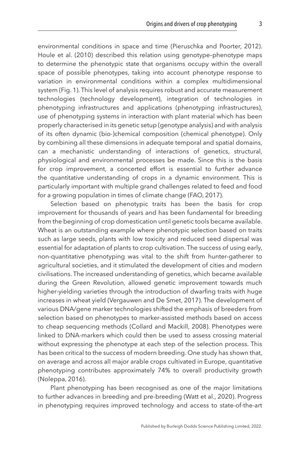environmental conditions in space and time [\(Pieruschka and Poorter, 2012](#page-23-0)). [Houle et al. \(2010\)](#page-21-1) described this relation using genotype–phenotype maps to determine the phenotypic state that organisms occupy within the overall space of possible phenotypes, taking into account phenotype response to variation in environmental conditions within a complex multidimensional system ([Fig. 1](#page-2-0)). This level of analysis requires robust and accurate measurement technologies (technology development), integration of technologies in phenotyping infrastructures and applications (phenotyping infrastructures), use of phenotyping systems in interaction with plant material which has been properly characterised in its genetic setup (genotype analysis) and with analysis of its often dynamic (bio-)chemical composition (chemical phenotype). Only by combining all these dimensions in adequate temporal and spatial domains, can a mechanistic understanding of interactions of genetics, structural, physiological and environmental processes be made. Since this is the basis for crop improvement, a concerted effort is essential to further advance the quantitative understanding of crops in a dynamic environment. This is particularly important with multiple grand challenges related to feed and food for a growing population in times of climate change ([FAO, 2017\)](#page-20-0).

Selection based on phenotypic traits has been the basis for crop improvement for thousands of years and has been fundamental for breeding from the beginning of crop domestication until genetic tools became available. Wheat is an outstanding example where phenotypic selection based on traits such as large seeds, plants with low toxicity and reduced seed dispersal was essential for adaptation of plants to crop cultivation. The success of using early, non-quantitative phenotyping was vital to the shift from hunter-gatherer to agricultural societies, and it stimulated the development of cities and modern civilisations. The increased understanding of genetics, which became available during the Green Revolution, allowed genetic improvement towards much higher-yielding varieties through the introduction of dwarfing traits with huge increases in wheat yield [\(Vergauwen and De Smet, 2017\)](#page-24-0). The development of various DNA/gene marker technologies shifted the emphasis of breeders from selection based on phenotypes to marker-assisted methods based on access to cheap sequencing methods ([Collard and Mackill, 2008](#page-20-1)). Phenotypes were linked to DNA-markers which could then be used to assess crossing material without expressing the phenotype at each step of the selection process. This has been critical to the success of modern breeding. One study has shown that, on average and across all major arable crops cultivated in Europe, quantitative phenotyping contributes approximately 74% to overall productivity growth ([Noleppa, 2016\)](#page-23-1).

Plant phenotyping has been recognised as one of the major limitations to further advances in breeding and pre-breeding ([Watt et al., 2020](#page-25-0)). Progress in phenotyping requires improved technology and access to state-of-the-art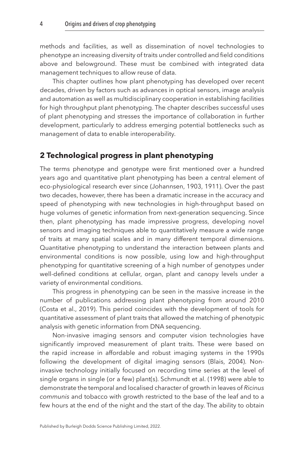methods and facilities, as well as dissemination of novel technologies to phenotype an increasing diversity of traits under controlled and field conditions above and belowground. These must be combined with integrated data management techniques to allow reuse of data.

This chapter outlines how plant phenotyping has developed over recent decades, driven by factors such as advances in optical sensors, image analysis and automation as well as multidisciplinary cooperation in establishing facilities for high throughput plant phenotyping. The chapter describes successful uses of plant phenotyping and stresses the importance of collaboration in further development, particularly to address emerging potential bottlenecks such as management of data to enable interoperability.

# <span id="page-4-0"></span>**[2 Technological progress in plant phenotyping](#page-1-2)**

The terms phenotype and genotype were first mentioned over a hundred years ago and quantitative plant phenotyping has been a central element of eco-physiological research ever since ([Johannsen, 1903](#page-21-2), [1911\)](#page-21-3). Over the past two decades, however, there has been a dramatic increase in the accuracy and speed of phenotyping with new technologies in high-throughput based on huge volumes of genetic information from next-generation sequencing. Since then, plant phenotyping has made impressive progress, developing novel sensors and imaging techniques able to quantitatively measure a wide range of traits at many spatial scales and in many different temporal dimensions. Quantitative phenotyping to understand the interaction between plants and environmental conditions is now possible, using low and high-throughput phenotyping for quantitative screening of a high number of genotypes under well-defined conditions at cellular, organ, plant and canopy levels under a variety of environmental conditions.

This progress in phenotyping can be seen in the massive increase in the number of publications addressing plant phenotyping from around 2010 ([Costa et al., 2019\)](#page-20-2). This period coincides with the development of tools for quantitative assessment of plant traits that allowed the matching of phenotypic analysis with genetic information from DNA sequencing.

Non-invasive imaging sensors and computer vision technologies have significantly improved measurement of plant traits. These were based on the rapid increase in affordable and robust imaging systems in the 1990s following the development of digital imaging sensors ([Blais, 2004\)](#page-19-2). Noninvasive technology initially focused on recording time series at the level of single organs in single (or a few) plant(s). [Schmundt et al. \(1998\)](#page-24-1) were able to demonstrate the temporal and localised character of growth in leaves of *Ricinus communis* and tobacco with growth restricted to the base of the leaf and to a few hours at the end of the night and the start of the day. The ability to obtain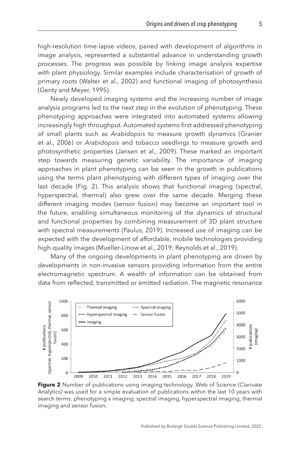high-resolution time-lapse videos, paired with development of algorithms in image analysis, represented a substantial advance in understanding growth processes. The progress was possible by linking image analysis expertise with plant physiology. Similar examples include characterisation of growth of primary roots [\(Walter et al., 2002\)](#page-24-2) and functional imaging of photosynthesis ([Genty and Meyer, 1995](#page-20-3)).

Newly developed imaging systems and the increasing number of image analysis programs led to the next step in the evolution of phenotyping. These phenotyping approaches were integrated into automated systems allowing increasingly high throughput. Automated systems first addressed phenotyping of small plants such as *Arabidopsi*s to measure growth dynamics [\(Granier](#page-21-4)  [et al., 2006](#page-21-4)) or *Arabidopsi*s and tobacco seedlings to measure growth and photosynthetic properties [\(Jansen et al., 2009](#page-21-5)). These marked an important step towards measuring genetic variability. The importance of imaging approaches in plant phenotyping can be seen in the growth in publications using the terms plant phenotyping with different types of imaging over the last decade (Fig. 2). This analysis shows that functional imaging (spectral, hyperspectral, thermal) also grew over the same decade. Merging these different imaging modes (sensor fusion) may become an important tool in the future, enabling simultaneous monitoring of the dynamics of structural and functional properties by combining measurement of 3D plant structure with spectral measurements [\(Paulus, 2019](#page-23-2)). Increased use of imaging can be expected with the development of affordable, mobile technologies providing high-quality images ([Mueller-Linow et al., 2019](#page-22-0); [Reynolds et al., 2019\)](#page-23-3).

Many of the ongoing developments in plant phenotyping are driven by developments in non-invasive sensors providing information from the entire electromagnetic spectrum. A wealth of information can be obtained from data from reflected, transmitted or emitted radiation. The magnetic resonance



**Figure 2** Number of publications using imaging technology. Web of Science (Clarivate Analytics) was used for a simple evaluation of publications within the last 10 years with search terms: phenotyping x imaging, spectral imaging, hyperspectral imaging, thermal imaging and sensor fusion.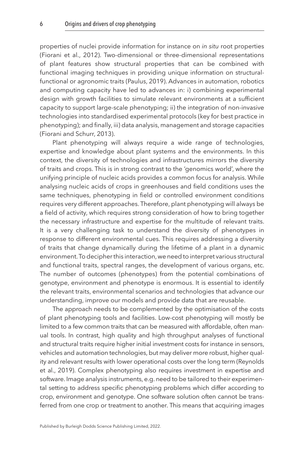properties of nuclei provide information for instance on *in situ* root properties ([Fiorani et al., 2012\)](#page-20-4). Two-dimensional or three-dimensional representations of plant features show structural properties that can be combined with functional imaging techniques in providing unique information on structuralfunctional or agronomic traits [\(Paulus, 2019](#page-23-2)). Advances in automation, robotics and computing capacity have led to advances in: i) combining experimental design with growth facilities to simulate relevant environments at a sufficient capacity to support large-scale phenotyping; ii) the integration of non-invasive technologies into standardised experimental protocols (key for best practice in phenotyping); and finally, iii) data analysis, management and storage capacities (Fiorani and Schurr, [2013](#page-20-5)).

Plant phenotyping will always require a wide range of technologies, expertise and knowledge about plant systems and the environments. In this context, the diversity of technologies and infrastructures mirrors the diversity of traits and crops. This is in strong contrast to the 'genomics world', where the unifying principle of nucleic acids provides a common focus for analysis. While analysing nucleic acids of crops in greenhouses and field conditions uses the same techniques, phenotyping in field or controlled environment conditions requires very different approaches. Therefore, plant phenotyping will always be a field of activity, which requires strong consideration of how to bring together the necessary infrastructure and expertise for the multitude of relevant traits. It is a very challenging task to understand the diversity of phenotypes in response to different environmental cues. This requires addressing a diversity of traits that change dynamically during the lifetime of a plant in a dynamic environment. To decipher this interaction, we need to interpret various structural and functional traits, spectral ranges, the development of various organs, etc. The number of outcomes (phenotypes) from the potential combinations of genotype, environment and phenotype is enormous. It is essential to identify the relevant traits, environmental scenarios and technologies that advance our understanding, improve our models and provide data that are reusable.

The approach needs to be complemented by the optimisation of the costs of plant phenotyping tools and facilities. Low-cost phenotyping will mostly be limited to a few common traits that can be measured with affordable, often manual tools. In contrast, high quality and high throughput analyses of functional and structural traits require higher initial investment costs for instance in sensors, vehicles and automation technologies, but may deliver more robust, higher quality and relevant results with lower operational costs over the long term ([Reynolds](#page-23-3)  [et al., 2019](#page-23-3)). Complex phenotyping also requires investment in expertise and software. Image analysis instruments, e.g. need to be tailored to their experimental setting to address specific phenotyping problems which differ according to crop, environment and genotype. One software solution often cannot be transferred from one crop or treatment to another. This means that acquiring images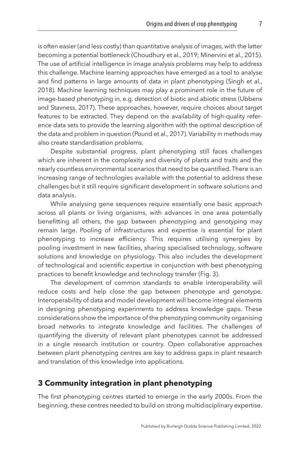is often easier (and less costly) than quantitative analysis of images, with the latter becoming a potential bottleneck [\(Choudhury et al., 2019](#page-20-6); [Minervini et al., 2015](#page-22-1)). The use of artificial intelligence in image analysis problems may help to address this challenge. Machine learning approaches have emerged as a tool to analyse and find patterns in large amounts of data in plant phenotyping [\(Singh et al.,](#page-24-3) [2018\)](#page-24-3). Machine learning techniques may play a prominent role in the future of image-based phenotyping in, e.g. detection of biotic and abiotic stress [\(Ubbens](#page-24-4) [and Stavness, 2017](#page-24-4)). These approaches, however, require choices about target features to be extracted. They depend on the availability of high-quality reference data sets to provide the learning algorithm with the optimal description of the data and problem in question ([Pound et al., 2017\)](#page-23-4). Variability in methods may also create standardisation problems.

Despite substantial progress, plant phenotyping still faces challenges which are inherent in the complexity and diversity of plants and traits and the nearly countless environmental scenarios that need to be quantified. There is an increasing range of technologies available with the potential to address these challenges but it still require significant development in software solutions and data analysis.

While analysing gene sequences require essentially one basic approach across all plants or living organisms, with advances in one area potentially benefitting all others, the gap between phenotyping and genotyping may remain large. Pooling of infrastructures and expertise is essential for plant phenotyping to increase efficiency. This requires utilising synergies by pooling investment in new facilities, sharing specialised technology, software solutions and knowledge on physiology. This also includes the development of technological and scientific expertise in conjunction with best phenotyping practices to benefit knowledge and technology transfer ([Fig. 3](#page-8-0)).

The development of common standards to enable interoperability will reduce costs and help close the gap between phenotype and genotype. Interoperability of data and model development will become integral elements in designing phenotyping experiments to address knowledge gaps. These considerations show the importance of the phenotyping community organising broad networks to integrate knowledge and facilities. The challenges of quantifying the diversity of relevant plant phenotypes cannot be addressed in a single research institution or country. Open collaborative approaches between plant phenotyping centres are key to address gaps in plant research and translation of this knowledge into applications.

# <span id="page-7-0"></span>**[3 Community integration in plant phenotyping](#page-1-3)**

The first phenotyping centres started to emerge in the early 2000s. From the beginning, these centres needed to build on strong multidisciplinary expertise.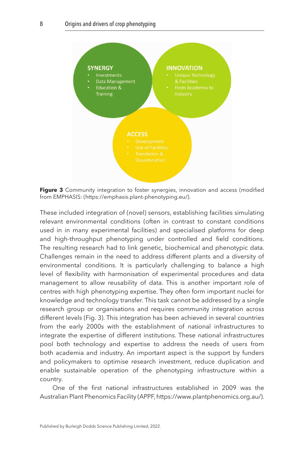<span id="page-8-0"></span>

**Figure 3** Community integration to foster synergies, innovation and access (modified from EMPHASIS: (https://emphasis.plant-phenotyping.eu/).

These included integration of (novel) sensors, establishing facilities simulating relevant environmental conditions (often in contrast to constant conditions used in in many experimental facilities) and specialised platforms for deep and high-throughput phenotyping under controlled and field conditions. The resulting research had to link genetic, biochemical and phenotypic data. Challenges remain in the need to address different plants and a diversity of environmental conditions. It is particularly challenging to balance a high level of flexibility with harmonisation of experimental procedures and data management to allow reusability of data. This is another important role of centres with high phenotyping expertise. They often form important nuclei for knowledge and technology transfer. This task cannot be addressed by a single research group or organisations and requires community integration across different levels (Fig. 3). This integration has been achieved in several countries from the early 2000s with the establishment of national infrastructures to integrate the expertise of different institutions. These national infrastructures pool both technology and expertise to address the needs of users from both academia and industry. An important aspect is the support by funders and policymakers to optimise research investment, reduce duplication and enable sustainable operation of the phenotyping infrastructure within a country.

One of the first national infrastructures established in 2009 was the Australian Plant Phenomics Facility (APPF, https://www.plantphenomics.org.au/).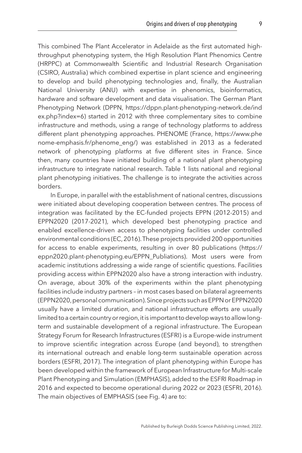This combined The Plant Accelerator in Adelaide as the first automated highthroughput phenotyping system, the High Resolution Plant Phenomics Centre (HRPPC) at Commonwealth Scientific and Industrial Research Organisation (CSIRO, Australia) which combined expertise in plant science and engineering to develop and build phenotyping technologies and, finally, the Australian National University (ANU) with expertise in phenomics, bioinformatics, hardware and software development and data visualisation. The German Plant Phenotyping Network (DPPN, https://dppn.plant-phenotyping-network.de/ind ex.php?index=6) started in 2012 with three complementary sites to combine infrastructure and methods, using a range of technology platforms to address different plant phenotyping approaches. PHENOME (France, https://www.phe nome-emphasis.fr/phenome\_eng/) was established in 2013 as a federated network of phenotyping platforms at five different sites in France. Since then, many countries have initiated building of a national plant phenotyping infrastructure to integrate national research. [Table 1](#page-10-0) lists national and regional plant phenotyping initiatives. The challenge is to integrate the activities across borders.

In Europe, in parallel with the establishment of national centres, discussions were initiated about developing cooperation between centres. The process of integration was facilitated by the EC-funded projects EPPN (2012-2015) and EPPN2020 (2017-2021), which developed best phenotyping practice and enabled excellence-driven access to phenotyping facilities under controlled environmental conditions [\(EC, 2016](#page-20-7)). These projects provided 200 opportunities for access to enable experiments, resulting in over 80 publications (https:// eppn2020.plant-phenotyping.eu/EPPN\_Publiations). Most users were from academic institutions addressing a wide range of scientific questions. Facilities providing access within EPPN2020 also have a strong interaction with industry. On average, about 30% of the experiments within the plant phenotyping facilities include industry partners – in most cases based on bilateral agreements (EPPN2020, personal communication). Since projects such as EPPN or EPPN2020 usually have a limited duration, and national infrastructure efforts are usually limited to a certain country or region, it is important to develop ways to allow longterm and sustainable development of a regional infrastructure. The European Strategy Forum for Research Infrastructures (ESFRI) is a Europe-wide instrument to improve scientific integration across Europe (and beyond), to strengthen its international outreach and enable long-term sustainable operation across borders [\(ESFRI, 2017\)](#page-20-8). The integration of plant phenotyping within Europe has been developed within the framework of European Infrastructure for Multi-scale Plant Phenotyping and Simulation (EMPHASIS), added to the ESFRI Roadmap in 2016 and expected to become operational during 2022 or 2023 [\(ESFRI, 2016](#page-20-9)). The main objectives of EMPHASIS (see [Fig. 4](#page-11-0)) are to: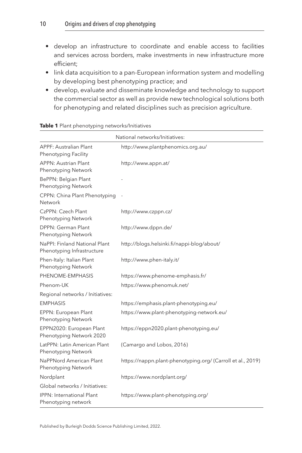- <span id="page-10-0"></span>• develop an infrastructure to coordinate and enable access to facilities and services across borders, make investments in new infrastructure more efficient;
- link data acquisition to a pan-European information system and modelling by developing best phenotyping practice; and
- develop, evaluate and disseminate knowledge and technology to support the commercial sector as well as provide new technological solutions both for phenotyping and related disciplines such as precision agriculture.

| National networks/Initiatives:                              |                                                             |
|-------------------------------------------------------------|-------------------------------------------------------------|
| <b>APPF: Australian Plant</b><br>Phenotyping Facility       | http://www.plantphenomics.org.au/                           |
| <b>APPN: Austrian Plant</b><br>Phenotyping Network          | http://www.appn.at/                                         |
| BePPN: Belgian Plant<br>Phenotyping Network                 |                                                             |
| CPPN: China Plant Phenotyping<br>Network                    |                                                             |
| CzPPN: Czech Plant<br>Phenotyping Network                   | http://www.czppn.cz/                                        |
| DPPN: German Plant<br>Phenotyping Network                   | http://www.dppn.de/                                         |
| NaPPI: Finland National Plant<br>Phenotyping Infrastructure | http://blogs.helsinki.fi/nappi-blog/about/                  |
| Phen-Italy: Italian Plant<br>Phenotyping Network            | http://www.phen-italy.it/                                   |
| PHENOME-EMPHASIS                                            | https://www.phenome-emphasis.fr/                            |
| Phenom-UK                                                   | https://www.phenomuk.net/                                   |
| Regional networks / Initiatives:                            |                                                             |
| <b>EMPHASIS</b>                                             | https://emphasis.plant-phenotyping.eu/                      |
| EPPN: European Plant<br>Phenotyping Network                 | https://www.plant-phenotyping-network.eu/                   |
| EPPN2020: European Plant<br>Phenotyping Network 2020        | https://eppn2020.plant-phenotyping.eu/                      |
| LatPPN: Latin American Plant<br>Phenotyping Network         | (Camargo and Lobos, 2016)                                   |
| NaPPNord American Plant<br>Phenotyping Network              | https://nappn.plant-phenotyping.org/ (Carroll et al., 2019) |
| Nordplant                                                   | https://www.nordplant.org/                                  |
| Global networks / Initiatives:                              |                                                             |
| <b>IPPN: International Plant</b><br>Phenotyping network     | https://www.plant-phenotyping.org/                          |

#### **Table 1** Plant phenotyping networks/Initiatives

Published by Burleigh Dodds Science Publishing Limited, 2022.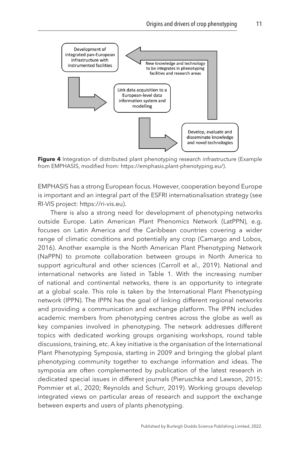<span id="page-11-0"></span>

Figure 4 Integration of distributed plant phenotyping research infrastructure (Example from EMPHASIS, modified from: https://emphasis.plant-phenotyping.eu/).

EMPHASIS has a strong European focus. However, cooperation beyond Europe is important and an integral part of the ESFRI internationalisation strategy (see RI-VIS project: https://ri-vis.eu).

There is also a strong need for development of phenotyping networks outside Europe. Latin American Plant Phenomics Network (LatPPN), e.g. focuses on Latin America and the Caribbean countries covering a wider range of climatic conditions and potentially any crop [\(Camargo and Lobos,](#page-19-3) [2016](#page-19-3)). Another example is the North American Plant Phenotyping Network (NaPPN) to promote collaboration between groups in North America to support agricultural and other sciences ([Carroll et al., 2019](#page-19-4)). National and international networks are listed in [Table 1](#page-10-0). With the increasing number of national and continental networks, there is an opportunity to integrate at a global scale. This role is taken by the International Plant Phenotyping network (IPPN). The IPPN has the goal of linking different regional networks and providing a communication and exchange platform. The IPPN includes academic members from phenotyping centres across the globe as well as key companies involved in phenotyping. The network addresses different topics with dedicated working groups organising workshops, round table discussions, training, etc. A key initiative is the organisation of the International Plant Phenotyping Symposia, starting in 2009 and bringing the global plant phenotyping community together to exchange information and ideas. The symposia are often complemented by publication of the latest research in dedicated special issues in different journals [\(Pieruschka and Lawson, 2015](#page-23-5); Pommier et al., [2020](#page-23-6); [Reynolds and Schurr, 2019\)](#page-24-5). Working groups develop integrated views on particular areas of research and support the exchange between experts and users of plants phenotyping.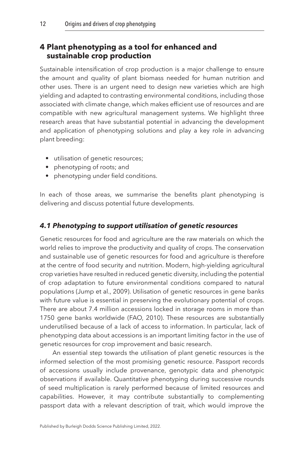### <span id="page-12-0"></span>**[4 Plant phenotyping as a tool for enhanced and](#page-1-4)  [sustainable crop production](#page-1-4)**

Sustainable intensification of crop production is a major challenge to ensure the amount and quality of plant biomass needed for human nutrition and other uses. There is an urgent need to design new varieties which are high yielding and adapted to contrasting environmental conditions, including those associated with climate change, which makes efficient use of resources and are compatible with new agricultural management systems. We highlight three research areas that have substantial potential in advancing the development and application of phenotyping solutions and play a key role in advancing plant breeding:

- utilisation of genetic resources;
- phenotyping of roots; and
- phenotyping under field conditions.

In each of those areas, we summarise the benefits plant phenotyping is delivering and discuss potential future developments.

#### *4.1 Phenotyping to support utilisation of genetic resources*

Genetic resources for food and agriculture are the raw materials on which the world relies to improve the productivity and quality of crops. The conservation and sustainable use of genetic resources for food and agriculture is therefore at the centre of food security and nutrition. Modern, high-yielding agricultural crop varieties have resulted in reduced genetic diversity, including the potential of crop adaptation to future environmental conditions compared to natural populations [\(Jump et al., 2009](#page-21-6)). Utilisation of genetic resources in gene banks with future value is essential in preserving the evolutionary potential of crops. There are about 7.4 million accessions locked in storage rooms in more than 1750 gene banks worldwide [\(FAO, 2010](#page-20-10)). These resources are substantially underutilised because of a lack of access to information. In particular, lack of phenotyping data about accessions is an important limiting factor in the use of genetic resources for crop improvement and basic research.

An essential step towards the utilisation of plant genetic resources is the informed selection of the most promising genetic resource. Passport records of accessions usually include provenance, genotypic data and phenotypic observations if available. Quantitative phenotyping during successive rounds of seed multiplication is rarely performed because of limited resources and capabilities. However, it may contribute substantially to complementing passport data with a relevant description of trait, which would improve the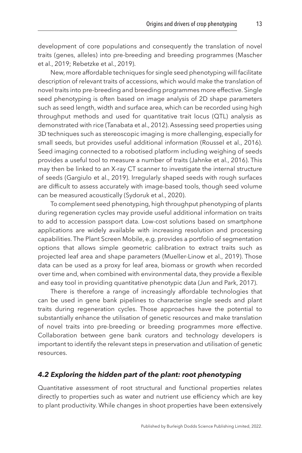development of core populations and consequently the translation of novel traits (genes, alleles) into pre-breeding and breeding programmes [\(Mascher](#page-22-2) [et al., 2019;](#page-22-2) [Rebetzke et al., 2019\)](#page-23-7).

New, more affordable techniques for single seed phenotyping will facilitate description of relevant traits of accessions, which would make the translation of novel traits into pre-breeding and breeding programmes more effective. Single seed phenotyping is often based on image analysis of 2D shape parameters such as seed length, width and surface area, which can be recorded using high throughput methods and used for quantitative trait locus (QTL) analysis as demonstrated with rice ([Tanabata et al., 2012](#page-24-6)). Assessing seed properties using 3D techniques such as stereoscopic imaging is more challenging, especially for small seeds, but provides useful additional information [\(Roussel et al., 2016](#page-24-7)). Seed imaging connected to a robotised platform including weighing of seeds provides a useful tool to measure a number of traits [\(Jahnke et al., 2016](#page-21-7)). This may then be linked to an X-ray CT scanner to investigate the internal structure of seeds ([Gargiulo et al., 2019\)](#page-20-11). Irregularly shaped seeds with rough surfaces are difficult to assess accurately with image-based tools, though seed volume can be measured acoustically ([Sydoruk et al., 2020](#page-24-8)).

To complement seed phenotyping, high throughput phenotyping of plants during regeneration cycles may provide useful additional information on traits to add to accession passport data. Low-cost solutions based on smartphone applications are widely available with increasing resolution and processing capabilities. The Plant Screen Mobile, e.g. provides a portfolio of segmentation options that allows simple geometric calibration to extract traits such as projected leaf area and shape parameters [\(Mueller-Linow et al., 2019\)](#page-22-0). Those data can be used as a proxy for leaf area, biomass or growth when recorded over time and, when combined with environmental data, they provide a flexible and easy tool in providing quantitative phenotypic data [\(Jun and Park, 2017\)](#page-21-8).

There is therefore a range of increasingly affordable technologies that can be used in gene bank pipelines to characterise single seeds and plant traits during regeneration cycles. Those approaches have the potential to substantially enhance the utilisation of genetic resources and make translation of novel traits into pre-breeding or breeding programmes more effective. Collaboration between gene bank curators and technology developers is important to identify the relevant steps in preservation and utilisation of genetic resources.

#### *4.2 Exploring the hidden part of the plant: root phenotyping*

Quantitative assessment of root structural and functional properties relates directly to properties such as water and nutrient use efficiency which are key to plant productivity. While changes in shoot properties have been extensively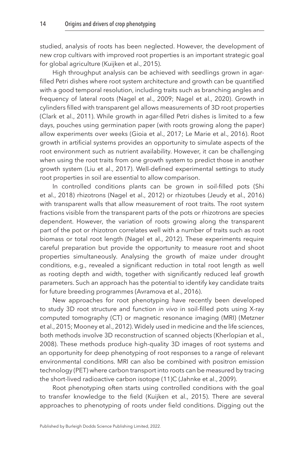studied, analysis of roots has been neglected. However, the development of new crop cultivars with improved root properties is an important strategic goal for global agriculture [\(Kuijken et al., 2015](#page-22-3)).

High throughput analysis can be achieved with seedlings grown in agarfilled Petri dishes where root system architecture and growth can be quantified with a good temporal resolution, including traits such as branching angles and frequency of lateral roots [\(Nagel et al., 2009](#page-22-4); [Nagel et al., 2020](#page-23-8)). Growth in cylinders filled with transparent gel allows measurements of 3D root properties ([Clark et al., 2011](#page-20-12)). While growth in agar-filled Petri dishes is limited to a few days, pouches using germination paper (with roots growing along the paper) allow experiments over weeks ([Gioia et al., 2017;](#page-20-13) [Le Marie et al., 2016\)](#page-22-5). Root growth in artificial systems provides an opportunity to simulate aspects of the root environment such as nutrient availability. However, it can be challenging when using the root traits from one growth system to predict those in another growth system ([Liu et al., 2017](#page-22-6)). Well-defined experimental settings to study root properties in soil are essential to allow comparison.

In controlled conditions plants can be grown in soil-filled pots [\(Shi](#page-24-9)  [et al., 2018\)](#page-24-9) rhizotrons ([Nagel et al., 2012\)](#page-23-9) or rhizotubes [\(Jeudy et al., 2016](#page-21-9)) with transparent walls that allow measurement of root traits. The root system fractions visible from the transparent parts of the pots or rhizotrons are species dependent. However, the variation of roots growing along the transparent part of the pot or rhizotron correlates well with a number of traits such as root biomass or total root length [\(Nagel et al., 2012\)](#page-23-9). These experiments require careful preparation but provide the opportunity to measure root and shoot properties simultaneously. Analysing the growth of maize under drought conditions, e.g., revealed a significant reduction in total root length as well as rooting depth and width, together with significantly reduced leaf growth parameters. Such an approach has the potential to identify key candidate traits for future breeding programmes [\(Avramova et al., 2016](#page-19-5)).

New approaches for root phenotyping have recently been developed to study 3D root structure and function *in vivo* in soil-filled pots using X-ray computed tomography (CT) or magnetic resonance imaging (MRI) [\(Metzner](#page-22-7)  [et al., 2015;](#page-22-7) [Mooney et al., 2012](#page-22-8)). Widely used in medicine and the life sciences, both methods involve 3D reconstruction of scanned objects ([Kherlopian et al.,](#page-22-9)  [2008\)](#page-22-9). These methods produce high-quality 3D images of root systems and an opportunity for deep phenotyping of root responses to a range of relevant environmental conditions. MRI can also be combined with positron emission technology (PET) where carbon transport into roots can be measured by tracing the short-lived radioactive carbon isotope (11)C [\(Jahnke et al., 2009](#page-21-10)).

Root phenotyping often starts using controlled conditions with the goal to transfer knowledge to the field ([Kuijken et al., 2015\)](#page-22-3). There are several approaches to phenotyping of roots under field conditions. Digging out the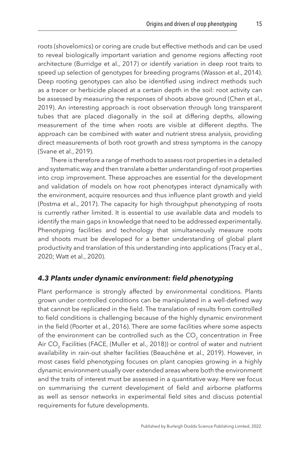roots (shovelomics) or coring are crude but effective methods and can be used to reveal biologically important variation and genome regions affecting root architecture ([Burridge et al., 2017](#page-19-6)) or identify variation in deep root traits to speed up selection of genotypes for breeding programs [\(Wasson et al., 2014](#page-24-10)). Deep rooting genotypes can also be identified using indirect methods such as a tracer or herbicide placed at a certain depth in the soil: root activity can be assessed by measuring the responses of shoots above ground ([Chen et al.,](#page-20-14) [2019\)](#page-20-14). An interesting approach is root observation through long transparent tubes that are placed diagonally in the soil at differing depths, allowing measurement of the time when roots are visible at different depths. The approach can be combined with water and nutrient stress analysis, providing direct measurements of both root growth and stress symptoms in the canopy ([Svane et al., 2019](#page-24-11)).

There is therefore a range of methods to assess root properties in a detailed and systematic way and then translate a better understanding of root properties into crop improvement. These approaches are essential for the development and validation of models on how root phenotypes interact dynamically with the environment, acquire resources and thus influence plant growth and yield ([Postma et al., 2017](#page-23-10)). The capacity for high throughput phenotyping of roots is currently rather limited. It is essential to use available data and models to identify the main gaps in knowledge that need to be addressed experimentally. Phenotyping facilities and technology that simultaneously measure roots and shoots must be developed for a better understanding of global plant productivity and translation of this understanding into applications [\(Tracy et al.,](#page-24-12)  [2020;](#page-24-12) [Watt et al., 2020\)](#page-25-0).

#### *4.3 Plants under dynamic environment: field phenotyping*

Plant performance is strongly affected by environmental conditions. Plants grown under controlled conditions can be manipulated in a well-defined way that cannot be replicated in the field. The translation of results from controlled to field conditions is challenging because of the highly dynamic environment in the field ([Poorter et al., 2016\)](#page-23-11). There are some facilities where some aspects of the environment can be controlled such as the  $CO<sub>2</sub>$  concentration in Free Air CO<sub>2</sub> Facilities (FACE, [\(Muller et al., 2018\)](#page-22-10)) or control of water and nutrient availability in rain-out shelter facilities ([Beauchêne et al., 2019](#page-19-7)). However, in most cases field phenotyping focuses on plant canopies growing in a highly dynamic environment usually over extended areas where both the environment and the traits of interest must be assessed in a quantitative way. Here we focus on summarising the current development of field and airborne platforms as well as sensor networks in experimental field sites and discuss potential requirements for future developments.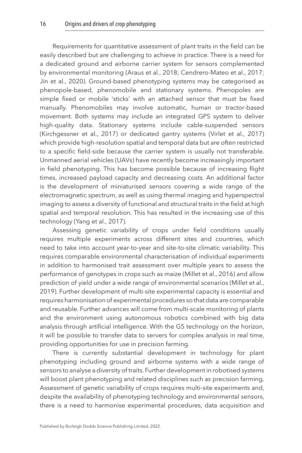Requirements for quantitative assessment of plant traits in the field can be easily described but are challenging to achieve in practice. There is a need for a dedicated ground and airborne carrier system for sensors complemented by environmental monitoring ([Araus et al., 2018;](#page-19-8) [Cendrero-Mateo et al., 2017](#page-19-9); [Jin et al., 2020\)](#page-21-11). Ground-based phenotyping systems may be categorised as phenopole-based, phenomobile and stationary systems. Phenopoles are simple fixed or mobile ʻsticks' with an attached sensor that must be fixed manually. Phenomobiles may involve automatic, human or tractor-based movement. Both systems may include an integrated GPS system to deliver high-quality data. Stationary systems include cable-suspended sensors ([Kirchgessner et al., 2017](#page-22-11)) or dedicated gantry systems [\(Virlet et al., 2017](#page-24-13)) which provide high-resolution spatial and temporal data but are often restricted to a specific field-side because the carrier system is usually not transferable. Unmanned aerial vehicles (UAVs) have recently become increasingly important in field phenotyping. This has become possible because of increasing flight times, increased payload capacity and decreasing costs. An additional factor is the development of miniaturised sensors covering a wide range of the electromagnetic spectrum, as well as using thermal imaging and hyperspectral imaging to assess a diversity of functional and structural traits in the field at high spatial and temporal resolution. This has resulted in the increasing use of this technology [\(Yang et al., 2017\)](#page-25-1).

Assessing genetic variability of crops under field conditions usually requires multiple experiments across different sites and countries, which need to take into account year-to-year and site-to-site climatic variability. This requires comparable environmental characterisation of individual experiments in addition to harmonised trait assessment over multiple years to assess the performance of genotypes in crops such as maize [\(Millet et al., 2016\)](#page-22-12) and allow prediction of yield under a wide range of environmental scenarios [\(Millet et al.,](#page-22-13)  [2019\)](#page-22-13). Further development of multi-site experimental capacity is essential and requires harmonisation of experimental procedures so that data are comparable and reusable. Further advances will come from multi-scale monitoring of plants and the environment using autonomous robotics combined with big data analysis through artificial intelligence. With the G5 technology on the horizon, it will be possible to transfer data to servers for complex analysis in real time, providing opportunities for use in precision farming.

There is currently substantial development in technology for plant phenotyping including ground and airborne systems with a wide range of sensors to analyse a diversity of traits. Further development in robotised systems will boost plant phenotyping and related disciplines such as precision farming. Assessment of genetic variability of crops requires multi-site experiments and, despite the availability of phenotyping technology and environmental sensors, there is a need to harmonise experimental procedures, data acquisition and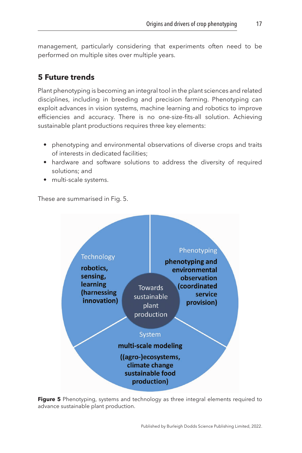management, particularly considering that experiments often need to be performed on multiple sites over multiple years.

# <span id="page-17-0"></span>**[5 Future trends](#page-1-5)**

Plant phenotyping is becoming an integral tool in the plant sciences and related disciplines, including in breeding and precision farming. Phenotyping can exploit advances in vision systems, machine learning and robotics to improve efficiencies and accuracy. There is no one-size-fits-all solution. Achieving sustainable plant productions requires three key elements:

- phenotyping and environmental observations of diverse crops and traits of interests in dedicated facilities;
- hardware and software solutions to address the diversity of required solutions; and
- multi-scale systems.

These are summarised in Fig. 5.



**Figure 5** Phenotyping, systems and technology as three integral elements required to advance sustainable plant production.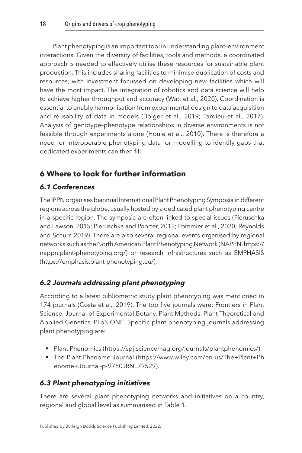Plant phenotyping is an important tool in understanding plant–environment interactions. Given the diversity of facilities, tools and methods, a coordinated approach is needed to effectively utilise these resources for sustainable plant production. This includes sharing facilities to minimise duplication of costs and resources, with investment focussed on developing new facilities which will have the most impact. The integration of robotics and data science will help to achieve higher throughput and accuracy ([Watt et al., 2020\)](#page-25-0). Coordination is essential to enable harmonisation from experimental design to data acquisition and reusability of data in models [\(Bolger et al., 2019;](#page-19-10) [Tardieu et al., 2017](#page-24-14)). Analysis of genotype–phenotype relationships in diverse environments is not feasible through experiments alone ([Houle et al., 2010\)](#page-21-1). There is therefore a need for interoperable phenotyping data for modelling to identify gaps that dedicated experiments can then fill.

# <span id="page-18-0"></span>**[6 Where to look for further information](#page-1-6)**

# *6.1 Conferences*

The IPPN organises biannual International Plant Phenotyping Symposia in different regions across the globe, usually hosted by a dedicated plant phenotyping centre in a specific region. The symposia are often linked to special issues [\(Pieruschka](#page-23-5)  [and Lawson, 2015](#page-23-5); [Pieruschka and Poorter, 2012](#page-23-0); [Pommier et al., 2020](#page-23-6); [Reynolds](#page-24-5)  [and Schurr, 2019\)](#page-24-5). There are also several regional events organised by regional networks such as the North American Plant Phenotyping Network (NAPPN, https:// nappn.plant-phenotyping.org/) or research infrastructures such as EMPHASIS (https://emphasis.plant-phenotyping.eu/).

# *6.2 Journals addressing plant phenotyping*

According to a latest bibliometric study plant phenotyping was mentioned in 174 journals ([Costa et al., 2019](#page-20-2)). The top five journals were: Frontiers in Plant Science, Journal of Experimental Botany, Plant Methods, Plant Theoretical and Applied Genetics, PLoS ONE. Specific plant phenotyping journals addressing plant phenotyping are:

- Plant Phenomics (https://spj.sciencemag.org/journals/plantphenomics/).
- The Plant Phenome Journal (https://www.wiley.com/en-us/The+Plant+Ph enome+Journal-p-9780JRNL79529).

## *6.3 Plant phenotyping initiatives*

There are several plant phenotyping networks and initiatives on a country, regional and global level as summarised in [Table 1.](#page-10-0)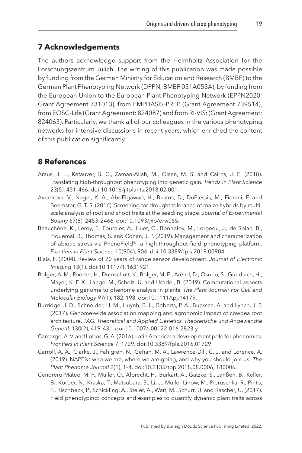# <span id="page-19-0"></span>**[7 Acknowledgements](#page-1-7)**

The authors acknowledge support from the Helmholtz Association for the Forschungszentrum Jülich. The writing of this publication was made possible by funding from the German Ministry for Education and Research (BMBF) to the German Plant Phenotyping Network (DPPN; BMBF 031A053A), by funding from the European Union to the European Plant Phenotyping Network (EPPN2020; Grant Agreement 731013), from EMPHASIS-PREP (Grant Agreement 739514), from EOSC-Life (Grant Agreement: 824087) and from RI-VIS: (Grant Agreement: 824063). Particularly, we thank all of our colleagues in the various phenotyping networks for intensive discussions in recent years, which enriched the content of this publication significantly.

# <span id="page-19-1"></span>**[8 References](#page-1-8)**

- <span id="page-19-8"></span>Araus, J. L., Kefauver, S. C., Zaman-Allah, M., Olsen, M. S. and Cairns, J. E. (2018). Translating high-throughput phenotyping into genetic gain. *Trends in Plant Science* 23(5), 451–466. doi:[10.1016/j.tplants.2018.02.001](http://dx.doi.org/10.1016/j.tplants.2018.02.001).
- <span id="page-19-5"></span>Avramova, V., Nagel, K. A., AbdElgawad, H., Bustos, D., DuPlessis, M., Fiorani, F. and Beemster, G. T. S. (2016). Screening for drought tolerance of maize hybrids by multiscale analysis of root and shoot traits at the seedling stage. *Journal of Experimental Botany* 67(8), 2453–2466. doi[:10.1093/jxb/erw055](http://dx.doi.org/10.1093/jxb/erw055).
- <span id="page-19-7"></span>Beauchêne, K., Leroy, F., Fournier, A., Huet, C., Bonnefoy, M., Lorgeou, J., de Solan, B., Piquemal, B., Thomas, S. and Cohan, J. P. (2019). Management and characterization of abiotic stress via PhénoField®, a high-throughput field phenotyping platform. *Frontiers in Plant Science* 10(904), 904. doi[:10.3389/fpls.2019.00904](http://dx.doi.org/10.3389/fpls.2019.00904).
- <span id="page-19-2"></span>Blais, F. (2004). Review of 20 years of range sensor development. *Journal of Electronic Imaging* 13(1). doi:[10.1117/1.1631921](http://dx.doi.org/10.1117/1.1631921).
- <span id="page-19-10"></span>Bolger, A. M., Poorter, H., Dumschott, K., Bolger, M. E., Arend, D., Osorio, S., Gundlach, H., Mayer, K. F. X., Lange, M., Scholz, U. and Usadel, B. (2019). Computational aspects underlying genome to phenome analysis in plants. *The Plant Journal: For Cell and Molecular Biology* 97(1), 182–198. doi[:10.1111/tpj.14179](http://dx.doi.org/10.1111/tpj.14179).
- <span id="page-19-6"></span>Burridge, J. D., Schneider, H. M., Huynh, B. L., Roberts, P. A., Bucksch, A. and Lynch, J. P. (2017). Genome-wide association mapping and agronomic impact of cowpea root architecture. *TAG. Theoretical and Applied Genetics. Theoretische und Angewandte Genetik* 130(2), 419–431. doi:[10.1007/s00122-016-2823-y](http://dx.doi.org/10.1007/s00122-016-2823-y).
- <span id="page-19-3"></span>Camargo, A. V. and Lobos, G. A. (2016). Latin America: a development pole for phenomics. *Frontiers in Plant Science* 7, 1729. doi:[10.3389/fpls.2016.01729](http://dx.doi.org/10.3389/fpls.2016.01729).
- <span id="page-19-4"></span>Carroll, A. A., Clarke, J., Fahlgren, N., Gehan, M. A., Lawrence-Dill, C. J. and Lorence, A. (2019). NAPPN: who we are, where we are going, and why you should join us! *The Plant Phenome Journal* 2(1), 1–4. doi[:10.2135/tppj2018.08.0006](http://dx.doi.org/10.2135/tppj2018.08.0006), 180006.
- <span id="page-19-9"></span>Cendrero-Mateo, M. P., Muller, O., Albrecht, H., Burkart, A., Gatzke, S., Janßen, B., Keller, B., Körber, N., Kraska, T., Matsubara, S., Li, J., Müller-Linow, M., Pieruschka, R., Pinto, F., Rischbeck, P., Schickling, A., Steier, A., Watt, M., Schurr, U. and Rascher, U. (2017). Field phenotyping: concepts and examples to quantify dynamic plant traits across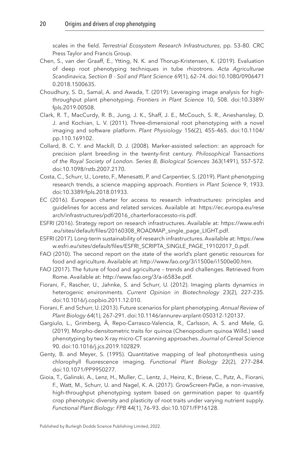scales in the field. *Terrestrial Ecosystem Research Infrastructures*, pp. 53–80. CRC Press Taylor and Francis Group.

- <span id="page-20-14"></span>Chen, S., van der Graaff, E., Ytting, N. K. and Thorup-Kristensen, K. (2019). Evaluation of deep root phenotyping techniques in tube rhizotrons. *Acta Agriculturae Scandinavica, Section B - Soil and Plant Science* 69(1), 62–74. doi:[10.1080/0906471](http://dx.doi.org/10.1080/09064710.2018.1500635) [0.2018.1500635.](http://dx.doi.org/10.1080/09064710.2018.1500635)
- <span id="page-20-6"></span>Choudhury, S. D., Samal, A. and Awada, T. (2019). Leveraging image analysis for highthroughput plant phenotyping. *Frontiers in Plant Science* 10, 508. doi[:10.3389/](http://dx.doi.org/10.3389/fpls.2019.00508) [fpls.2019.00508.](http://dx.doi.org/10.3389/fpls.2019.00508)
- <span id="page-20-12"></span>Clark, R. T., MacCurdy, R. B., Jung, J. K., Shaff, J. E., McCouch, S. R., Aneshansley, D. J. and Kochian, L. V. (2011). Three-dimensional root phenotyping with a novel imaging and software platform. *Plant Physiology* 156(2), 455–465. doi:[10.1104/](http://dx.doi.org/10.1104/pp.110.169102) [pp.110.169102.](http://dx.doi.org/10.1104/pp.110.169102)
- <span id="page-20-1"></span>Collard, B. C. Y. and Mackill, D. J. (2008). Marker-assisted selection: an approach for precision plant breeding in the twenty-first century. *Philosophical Transactions of the Royal Society of London. Series B, Biological Sciences* 363(1491), 557–572. doi[:10.1098/rstb.2007.2170](http://dx.doi.org/10.1098/rstb.2007.2170).
- <span id="page-20-2"></span>Costa, C., Schurr, U., Loreto, F., Menesatti, P. and Carpentier, S. (2019). Plant phenotyping research trends, a science mapping approach. *Frontiers in Plant Science* 9, 1933. doi[:10.3389/fpls.2018.01933](http://dx.doi.org/10.3389/fpls.2018.01933).
- <span id="page-20-7"></span>EC (2016). European charter for access to research infrastructures: principles and guidelines for access and related services. Available at: [https://ec.europa.eu/rese](http://dx.doi.org/https://ec.europa.eu/research/infrastructures/pdf/2016_charterforaccessto-ris.pdf) [arch/infrastructures/pdf/2016\\_charterforaccessto-ris.pdf.](http://dx.doi.org/https://ec.europa.eu/research/infrastructures/pdf/2016_charterforaccessto-ris.pdf)
- <span id="page-20-9"></span>ESFRI (2016). Strategy report on research infrastructures. Available at: [https://www.esfri](http://dx.doi.org/https://www.esfri.eu/sites/default/files/20160308_ROADMAP_single_page_LIGHT.pdf) [.eu/sites/default/files/20160308\\_ROADMAP\\_single\\_page\\_LIGHT.pdf](http://dx.doi.org/https://www.esfri.eu/sites/default/files/20160308_ROADMAP_single_page_LIGHT.pdf).
- <span id="page-20-8"></span>ESFRI (2017). Long-term sustainability of research infrastructures. Available at: [https://ww](http://dx.doi.org/https://www.esfri.eu/sites/default/files/ESFRI_SCRIPTA_SINGLE_PAGE_19102017_0.pdf) [w.esfri.eu/sites/default/files/ESFRI\\_SCRIPTA\\_SINGLE\\_PAGE\\_19102017\\_0.pdf](http://dx.doi.org/https://www.esfri.eu/sites/default/files/ESFRI_SCRIPTA_SINGLE_PAGE_19102017_0.pdf).
- <span id="page-20-10"></span>FAO (2010). The second report on the state of the world's plant genetic resources for food and agriculture. Available at: [http://www.fao.org/3/i1500e/i1500e00.htm](http://dx.doi.org/http://www.fao.org/3/i1500e/i1500e00.htm).
- <span id="page-20-0"></span>FAO (2017). The future of food and agriculture – trends and challenges. Retrieved from Rome. Available at: [http://www.fao.org/3/a-i6583e.pdf.](http://dx.doi.org/http://www.fao.org/3/a-i6583e.pdf)
- <span id="page-20-4"></span>Fiorani, F., Rascher, U., Jahnke, S. and Schurr, U. (2012). Imaging plants dynamics in heterogenic environments. *Current Opinion in Biotechnology* 23(2), 227–235. doi[:10.1016/j.copbio.2011.12.010](http://dx.doi.org/10.1016/j.copbio.2011.12.010).
- <span id="page-20-5"></span>Fiorani, F. and Schurr, U. (2013). Future scenarios for plant phenotyping. *Annual Review of Plant Biology* 64(1), 267–291. doi[:10.1146/annurev-arplant-050312-120137](http://dx.doi.org/10.1146/annurev-arplant-050312-120137).
- <span id="page-20-11"></span>Gargiulo, L., Grimberg, Å, Repo-Carrasco-Valencia, R., Carlsson, A. S. and Mele, G. (2019). Morpho-densitometric traits for quinoa (Chenopodium quinoa Willd.) seed phenotyping by two X-ray micro-CT scanning approaches. *Journal of Cereal Science* 90. doi[:10.1016/j.jcs.2019.102829](http://dx.doi.org/10.1016/j.jcs.2019.102829).
- <span id="page-20-3"></span>Genty, B. and Meyer, S. (1995). Quantitative mapping of leaf photosynthesis using chlorophyll fluorescence imaging. *Functional Plant Biology* 22(2), 277–284. doi[:10.1071/PP9950277.](http://dx.doi.org/10.1071/PP9950277)
- <span id="page-20-13"></span>Gioia, T., Galinski, A., Lenz, H., Muller, C., Lentz, J., Heinz, K., Briese, C., Putz, A., Fiorani, F., Watt, M., Schurr, U. and Nagel, K. A. (2017). GrowScreen-PaGe, a non-invasive, high-throughput phenotyping system based on germination paper to quantify crop phenotypic diversity and plasticity of root traits under varying nutrient supply. *Functional Plant Biology: FPB* 44(1), 76–93. doi:[10.1071/FP16128.](http://dx.doi.org/10.1071/FP16128)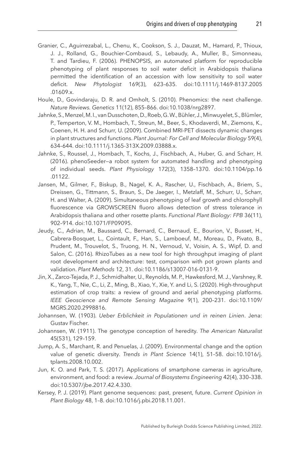- <span id="page-21-4"></span>Granier, C., Aguirrezabal, L., Chenu, K., Cookson, S. J., Dauzat, M., Hamard, P., Thioux, J. J., Rolland, G., Bouchier-Combaud, S., Lebaudy, A., Muller, B., Simonneau, T. and Tardieu, F. (2006). PHENOPSIS, an automated platform for reproducible phenotyping of plant responses to soil water deficit in Arabidopsis thaliana permitted the identification of an accession with low sensitivity to soil water deficit. *New Phytologist* 169(3), 623–635. doi:[10.1111/j.1469-8137.2005](http://dx.doi.org/10.1111/j.1469-8137.2005
.01609.x) [.01609.x](http://dx.doi.org/10.1111/j.1469-8137.2005
.01609.x).
- <span id="page-21-1"></span>Houle, D., Govindaraju, D. R. and Omholt, S. (2010). Phenomics: the next challenge. *Nature Reviews. Genetics* 11(12), 855–866. doi:[10.1038/nrg2897](http://dx.doi.org/10.1038/nrg2897).
- <span id="page-21-10"></span>Jahnke, S., Menzel, M. I., van Dusschoten, D., Roeb, G. W., Bühler, J., Minwuyelet, S., Blümler, P., Temperton, V. M., Hombach, T., Streun, M., Beer, S., Khodaverdi, M., Ziemons, K., Coenen, H. H. and Schurr, U. (2009). Combined MRI-PET dissects dynamic changes in plant structures and functions. *Plant Journal: For Cell and Molecular Biology* 59(4), 634–644. doi[:10.1111/j.1365-313X.2009.03888.x](http://dx.doi.org/10.1111/j.1365-313X.2009.03888.x).
- <span id="page-21-7"></span>Jahnke, S., Roussel, J., Hombach, T., Kochs, J., Fischbach, A., Huber, G. and Scharr, H. (2016). phenoSeeder—a robot system for automated handling and phenotyping of individual seeds. *Plant Physiology* 172(3), 1358–1370. doi:[10.1104/pp.16](http://dx.doi.org/10.1104/pp.16
.01122) [.01122](http://dx.doi.org/10.1104/pp.16
.01122).
- <span id="page-21-5"></span>Jansen, M., Gilmer, F., Biskup, B., Nagel, K. A., Rascher, U., Fischbach, A., Briem, S., Dreissen, G., Tittmann, S., Braun, S., De Jaeger, I., Metzlaff, M., Schurr, U., Scharr, H. and Walter, A. (2009). Simultaneous phenotyping of leaf growth and chlorophyll fluorescence via GROWSCREEN fluoro allows detection of stress tolerance in Arabidopsis thaliana and other rosette plants. *Functional Plant Biology: FPB* 36(11), 902–914. doi[:10.1071/FP09095](http://dx.doi.org/10.1071/FP09095).
- <span id="page-21-9"></span>Jeudy, C., Adrian, M., Baussard, C., Bernard, C., Bernaud, E., Bourion, V., Busset, H., Cabrera-Bosquet, L., Cointault, F., Han, S., Lamboeuf, M., Moreau, D., Pivato, B., Prudent, M., Trouvelot, S., Truong, H. N., Vernoud, V., Voisin, A. S., Wipf, D. and Salon, C. (2016). RhizoTubes as a new tool for high throughput imaging of plant root development and architecture: test, comparison with pot grown plants and validation. *Plant Methods* 12, 31. doi:[10.1186/s13007-016-0131-9](http://dx.doi.org/10.1186/s13007-016-0131-9).
- <span id="page-21-11"></span>Jin, X., Zarco-Tejada, P. J., Schmidhalter, U., Reynolds, M. P., Hawkesford, M. J., Varshney, R. K., Yang, T., Nie, C., Li, Z., Ming, B., Xiao, Y., Xie, Y. and Li, S. (2020). High-throughput estimation of crop traits: a review of ground and aerial phenotyping platforms. *IEEE Geoscience and Remote Sensing Magazine* 9(1), 200–231. doi[:10.1109/](http://dx.doi.org/10.1109/MGRS.2020.2998816) [MGRS.2020.2998816.](http://dx.doi.org/10.1109/MGRS.2020.2998816)
- <span id="page-21-2"></span>Johannsen, W. (1903). *Ueber Erblichkeit in Populationen und in reinen Linien*. Jena: Gustav Fischer.
- <span id="page-21-3"></span>Johannsen, W. (1911). The genotype conception of heredity. *The American Naturalist* 45(531), 129–159.
- <span id="page-21-6"></span>Jump, A. S., Marchant, R. and Penuelas, J. (2009). Environmental change and the option value of genetic diversity. *Trends in Plant Science* 14(1), 51–58. doi[:10.1016/j.](http://dx.doi.org/10.1016/j.tplants.2008.10.002) [tplants.2008.10.002.](http://dx.doi.org/10.1016/j.tplants.2008.10.002)
- <span id="page-21-8"></span>Jun, K. O. and Park, T. S. (2017). Applications of smartphone cameras in agriculture, environment, and food: a review. *Journal of Biosystems Engineering* 42(4), 330–338. doi[:10.5307/jbe.2017.42.4.330.](http://dx.doi.org/10.5307/jbe.2017.42.4.330)
- <span id="page-21-0"></span>Kersey, P. J. (2019). Plant genome sequences: past, present, future. *Current Opinion in Plant Biology* 48, 1–8. doi[:10.1016/j.pbi.2018.11.001](http://dx.doi.org/10.1016/j.pbi.2018.11.001).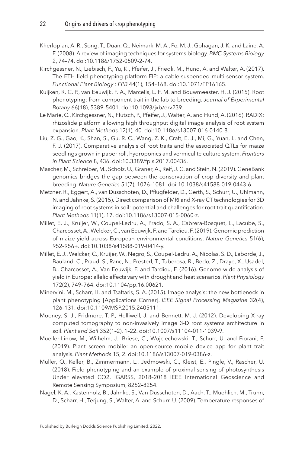- <span id="page-22-9"></span>Kherlopian, A. R., Song, T., Duan, Q., Neimark, M. A., Po, M. J., Gohagan, J. K. and Laine, A. F. (2008). A review of imaging techniques for systems biology. *BMC Systems Biology* 2, 74–74. doi[:10.1186/1752-0509-2-74.](http://dx.doi.org/10.1186/1752-0509-2-74)
- <span id="page-22-11"></span>Kirchgessner, N., Liebisch, F., Yu, K., Pfeifer, J., Friedli, M., Hund, A. and Walter, A. (2017). The ETH field phenotyping platform FIP: a cable-suspended multi-sensor system. *Functional Plant Biology : FPB* 44(1), 154–168. doi:[10.1071/FP16165](http://dx.doi.org/10.1071/FP16165).
- <span id="page-22-3"></span>Kuijken, R. C. P., van Eeuwijk, F. A., Marcelis, L. F. M. and Bouwmeester, H. J. (2015). Root phenotyping: from component trait in the lab to breeding. *Journal of Experimental Botany* 66(18), 5389–5401. doi:[10.1093/jxb/erv239.](http://dx.doi.org/10.1093/jxb/erv239)
- <span id="page-22-5"></span>Le Marie, C., Kirchgessner, N., Flutsch, P., Pfeifer, J., Walter, A. and Hund, A. (2016). RADIX: rhizoslide platform allowing high throughput digital image analysis of root system expansion. *Plant Methods* 12(1), 40. doi[:10.1186/s13007-016-0140-8.](http://dx.doi.org/10.1186/s13007-016-0140-8)
- <span id="page-22-6"></span>Liu, Z. G., Gao, K., Shan, S., Gu, R. C., Wang, Z. K., Craft, E. J., Mi, G., Yuan, L. and Chen, F. J. (2017). Comparative analysis of root traits and the associated QTLs for maize seedlings grown in paper roll, hydroponics and vermiculite culture system. *Frontiers in Plant Science* 8, 436. doi[:10.3389/fpls.2017.00436](http://dx.doi.org/10.3389/fpls.2017.00436).
- <span id="page-22-2"></span>Mascher, M., Schreiber, M., Scholz, U., Graner, A., Reif, J. C. and Stein, N. (2019). GeneBank genomics bridges the gap between the conservation of crop diversity and plant breeding. *Nature Genetics* 51(7), 1076–1081. doi:[10.1038/s41588-019-0443-6](http://dx.doi.org/10.1038/s41588-019-0443-6).
- <span id="page-22-7"></span>Metzner, R., Eggert, A., van Dusschoten, D., Pflugfelder, D., Gerth, S., Schurr, U., Uhlmann, N. and Jahnke, S. (2015). Direct comparison of MRI and X-ray CT technologies for 3D imaging of root systems in soil: potential and challenges for root trait quantification. *Plant Methods* 11(1), 17. doi:[10.1186/s13007-015-0060-z](http://dx.doi.org/10.1186/s13007-015-0060-z).
- <span id="page-22-13"></span>Millet, E. J., Kruijer, W., Coupel-Ledru, A., Prado, S. A., Cabrera-Bosquet, L., Lacube, S., Charcosset, A., Welcker, C., van Eeuwijk, F. and Tardieu, F. (2019). Genomic prediction of maize yield across European environmental conditions. *Nature Genetics* 51(6), 952–956+. doi[:10.1038/s41588-019-0414-y.](http://dx.doi.org/10.1038/s41588-019-0414-y)
- <span id="page-22-12"></span>Millet, E. J., Welcker, C., Kruijer, W., Negro, S., Coupel-Ledru, A., Nicolas, S. D., Laborde, J., Bauland, C., Praud, S., Ranc, N., Presterl, T., Tuberosa, R., Bedo, Z., Draye, X., Usadel, B., Charcosset, A., Van Eeuwijk, F. and Tardieu, F. (2016). Genome-wide analysis of yield in Europe: allelic effects vary with drought and heat scenarios. *Plant Physiology* 172(2), 749–764. doi[:10.1104/pp.16.00621.](http://dx.doi.org/10.1104/pp.16.00621)
- <span id="page-22-1"></span>Minervini, M., Scharr, H. and Tsaftaris, S. A. (2015). Image analysis: the new bottleneck in plant phenotyping [Applications Corner]. *IEEE Signal Processing Magazine* 32(4), 126–131. doi[:10.1109/MSP.2015.2405111](http://dx.doi.org/10.1109/MSP.2015.2405111).
- <span id="page-22-8"></span>Mooney, S. J., Pridmore, T. P., Helliwell, J. and Bennett, M. J. (2012). Developing X-ray computed tomography to non-invasively image 3-D root systems architecture in soil. *Plant and Soil* 352(1–2), 1–22. doi:[10.1007/s11104-011-1039-9](http://dx.doi.org/10.1007/s11104-011-1039-9).
- <span id="page-22-0"></span>Mueller-Linow, M., Wilhelm, J., Briese, C., Wojciechowski, T., Schurr, U. and Fiorani, F. (2019). Plant screen mobile: an open-source mobile device app for plant trait analysis. *Plant Methods* 15, 2. doi:[10.1186/s13007-019-0386-z](http://dx.doi.org/10.1186/s13007-019-0386-z).
- <span id="page-22-10"></span>Muller, O., Keller, B., Zimmermann, L., Jedmowski, C., Kleist, E., Pingle, V., Rascher, U. (2018). Field phenotyping and an example of proximal sensing of photosynthesis Under elevated CO2. IGARSS, 2018–2018 IEEE International Geoscience and Remote Sensing Symposium, 8252–8254.
- <span id="page-22-4"></span>Nagel, K. A., Kastenholz, B., Jahnke, S., Van Dusschoten, D., Aach, T., Muehlich, M., Truhn, D., Scharr, H., Terjung, S., Walter, A. and Schurr, U. (2009). Temperature responses of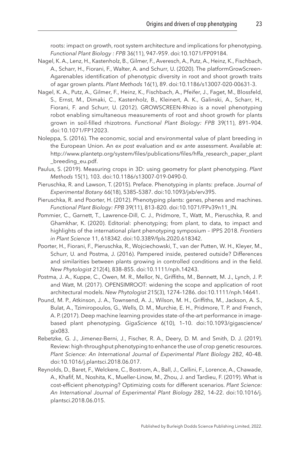roots: impact on growth, root system architecture and implications for phenotyping. *Functional Plant Biology : FPB* 36(11), 947–959. doi:[10.1071/FP09184.](http://dx.doi.org/10.1071/FP09184)

- <span id="page-23-8"></span>Nagel, K. A., Lenz, H., Kastenholz, B., Gilmer, F., Averesch, A., Putz, A., Heinz, K., Fischbach, A., Scharr, H., Fiorani, F., Walter, A. and Schurr, U. (2020). The platformGrowScreen-Agarenables identification of phenotypic diversity in root and shoot growth traits of agar grown plants. *Plant Methods* 16(1), 89. doi[:10.1186/s13007-020-00631-3](http://dx.doi.org/10.1186/s13007-020-00631-3).
- <span id="page-23-9"></span>Nagel, K. A., Putz, A., Gilmer, F., Heinz, K., Fischbach, A., Pfeifer, J., Faget, M., Blossfeld, S., Ernst, M., Dimaki, C., Kastenholz, B., Kleinert, A. K., Galinski, A., Scharr, H., Fiorani, F. and Schurr, U. (2012). GROWSCREEN-Rhizo is a novel phenotyping robot enabling simultaneous measurements of root and shoot growth for plants grown in soil-filled rhizotrons. *Functional Plant Biology: FPB* 39(11), 891–904. doi:[10.1071/FP12023](http://dx.doi.org/10.1071/FP12023).
- <span id="page-23-1"></span>Noleppa, S. (2016). The economic, social and environmental value of plant breeding in the European Union. An *ex post* evaluation and *ex ante* assessment. Available at: [http://www.plantetp.org/system/files/publications/files/hffa\\_research\\_paper\\_plant](http://dx.doi.org/http://www.plantetp.org/system/files/publications/files/hffa_research_paper_plant_breeding_eu.pdf) [\\_breeding\\_eu.pdf.](http://dx.doi.org/http://www.plantetp.org/system/files/publications/files/hffa_research_paper_plant_breeding_eu.pdf)
- <span id="page-23-2"></span>Paulus, S. (2019). Measuring crops in 3D: using geometry for plant phenotyping. *Plant Methods* 15(1), 103. doi:[10.1186/s13007-019-0490-0](http://dx.doi.org/10.1186/s13007-019-0490-0).
- <span id="page-23-5"></span>Pieruschka, R. and Lawson, T. (2015). Preface. Phenotyping in plants: preface. *Journal of Experimental Botany* 66(18), 5385–5387. doi[:10.1093/jxb/erv395](http://dx.doi.org/10.1093/jxb/erv395).
- <span id="page-23-0"></span>Pieruschka, R. and Poorter, H. (2012). Phenotyping plants: genes, phenes and machines. *Functional Plant Biology: FPB* 39(11), 813–820. doi:[10.1071/FPv39n11\\_IN](http://dx.doi.org/10.1071/FPv39n11_IN).
- <span id="page-23-6"></span>Pommier, C., Garnett, T., Lawrence-Dill, C. J., Pridmore, T., Watt, M., Pieruschka, R. and Ghamkhar, K. (2020). Editorial: phenotyping; from plant, to data, to impact and highlights of the international plant phenotyping symposium – IPPS 2018. *Frontiers in Plant Science* 11, 618342. doi[:10.3389/fpls.2020.618342](http://dx.doi.org/10.3389/fpls.2020.618342).
- <span id="page-23-11"></span>Poorter, H., Fiorani, F., Pieruschka, R., Wojciechowski, T., van der Putten, W. H., Kleyer, M., Schurr, U. and Postma, J. (2016). Pampered inside, pestered outside? Differences and similarities between plants growing in controlled conditions and in the field. *New Phytologist* 212(4), 838–855. doi[:10.1111/nph.14243.](http://dx.doi.org/10.1111/nph.14243)
- <span id="page-23-10"></span>Postma, J. A., Kuppe, C., Owen, M. R., Mellor, N., Griffiths, M., Bennett, M. J., Lynch, J. P. and Watt, M. (2017). OPENSIMROOT: widening the scope and application of root architectural models. *New Phytologist* 215(3), 1274–1286. doi[:10.1111/nph.14641.](http://dx.doi.org/10.1111/nph.14641)
- <span id="page-23-4"></span>Pound, M. P., Atkinson, J. A., Townsend, A. J., Wilson, M. H., Griffiths, M., Jackson, A. S., Bulat, A., Tzimiropoulos, G., Wells, D. M., Murchie, E. H., Pridmore, T. P. and French, A. P. (2017). Deep machine learning provides state-of-the-art performance in imagebased plant phenotyping. *GigaScience* 6(10), 1–10. doi[:10.1093/gigascience/](http://dx.doi.org/10.1093/gigascience/gix083) [gix083.](http://dx.doi.org/10.1093/gigascience/gix083)
- <span id="page-23-7"></span>Rebetzke, G. J., Jimenez-Berni, J., Fischer, R. A., Deery, D. M. and Smith, D. J. (2019). Review: high-throughput phenotyping to enhance the use of crop genetic resources. *Plant Science: An International Journal of Experimental Plant Biology* 282, 40–48. doi[:10.1016/j.plantsci.2018.06.017](http://dx.doi.org/10.1016/j.plantsci.2018.06.017).
- <span id="page-23-3"></span>Reynolds, D., Baret, F., Welckere, C., Bostrom, A., Ball, J., Cellini, F., Lorence, A., Chawade, A., Khafif, M., Noshita, K., Mueller-Linow, M., Zhou, J. and Tardieu, F. (2019). What is cost-efficient phenotyping? Optimizing costs for different scenarios. *Plant Science: An International Journal of Experimental Plant Biology* 282, 14–22. doi[:10.1016/j.](http://dx.doi.org/10.1016/j.plantsci.2018.06.015) [plantsci.2018.06.015](http://dx.doi.org/10.1016/j.plantsci.2018.06.015).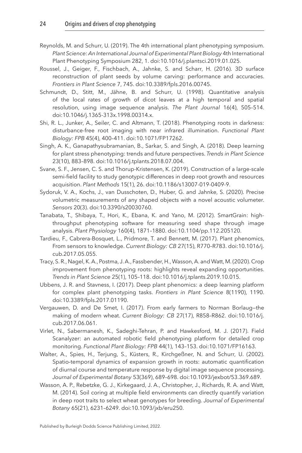- <span id="page-24-5"></span>Reynolds, M. and Schurr, U. (2019). The 4th international plant phenotyping symposium. *Plant Science: An International Journal of Experimental Plant Biology* 4th International Plant Phenotyping Symposium 282, 1. doi:[10.1016/j.plantsci.2019.01.025.](http://dx.doi.org/10.1016/j.plantsci.2019.01.025)
- <span id="page-24-7"></span>Roussel, J., Geiger, F., Fischbach, A., Jahnke, S. and Scharr, H. (2016). 3D surface reconstruction of plant seeds by volume carving: performance and accuracies. *Frontiers in Plant Science* 7, 745. doi:[10.3389/fpls.2016.00745.](http://dx.doi.org/10.3389/fpls.2016.00745)
- <span id="page-24-1"></span>Schmundt, D., Stitt, M., Jähne, B. and Schurr, U. (1998). Quantitative analysis of the local rates of growth of dicot leaves at a high temporal and spatial resolution, using image sequence analysis. *The Plant Journal* 16(4), 505–514. doi[:10.1046/j.1365-313x.1998.00314.x](http://dx.doi.org/10.1046/j.1365-313x.1998.00314.x).
- <span id="page-24-9"></span>Shi, R. L., Junker, A., Seiler, C. and Altmann, T. (2018). Phenotyping roots in darkness: disturbance-free root imaging with near infrared illumination. *Functional Plant Biology: FPB* 45(4), 400–411. doi[:10.1071/FP17262.](http://dx.doi.org/10.1071/FP17262)
- <span id="page-24-3"></span>Singh, A. K., Ganapathysubramanian, B., Sarkar, S. and Singh, A. (2018). Deep learning for plant stress phenotyping: trends and future perspectives. *Trends in Plant Science* 23(10), 883–898. doi[:10.1016/j.tplants.2018.07.004.](http://dx.doi.org/10.1016/j.tplants.2018.07.004)
- <span id="page-24-11"></span>Svane, S. F., Jensen, C. S. and Thorup-Kristensen, K. (2019). Construction of a large-scale semi-field facility to study genotypic differences in deep root growth and resources acquisition. *Plant Methods* 15(1), 26. doi[:10.1186/s13007-019-0409-9.](http://dx.doi.org/10.1186/s13007-019-0409-9)
- <span id="page-24-8"></span>Sydoruk, V. A., Kochs, J., van Dusschoten, D., Huber, G. and Jahnke, S. (2020). Precise volumetric measurements of any shaped objects with a novel acoustic volumeter. *Sensors* 20(3). doi[:10.3390/s20030760.](http://dx.doi.org/10.3390/s20030760)
- <span id="page-24-6"></span>Tanabata, T., Shibaya, T., Hori, K., Ebana, K. and Yano, M. (2012). SmartGrain: highthroughput phenotyping software for measuring seed shape through image analysis. *Plant Physiology* 160(4), 1871–1880. doi:[10.1104/pp.112.205120.](http://dx.doi.org/10.1104/pp.112.205120)
- <span id="page-24-14"></span>Tardieu, F., Cabrera-Bosquet, L., Pridmore, T. and Bennett, M. (2017). Plant phenomics, From sensors to knowledge. *Current Biology: CB* 27(15), R770–R783. doi:[10.1016/j.](http://dx.doi.org/10.1016/j.cub.2017.05.055) [cub.2017.05.055.](http://dx.doi.org/10.1016/j.cub.2017.05.055)
- <span id="page-24-12"></span>Tracy, S. R., Nagel, K. A., Postma, J. A., Fassbender, H., Wasson, A. and Watt, M. (2020). Crop improvement from phenotyping roots: highlights reveal expanding opportunities. *Trends in Plant Science* 25(1), 105–118. doi:[10.1016/j.tplants.2019.10.015](http://dx.doi.org/10.1016/j.tplants.2019.10.015).
- <span id="page-24-4"></span>Ubbens, J. R. and Stavness, I. (2017). Deep plant phenomics: a deep learning platform for complex plant phenotyping tasks. *Frontiers in Plant Science* 8(1190), 1190. doi[:10.3389/fpls.2017.01190](http://dx.doi.org/10.3389/fpls.2017.01190).
- <span id="page-24-0"></span>Vergauwen, D. and De Smet, I. (2017). From early farmers to Norman Borlaug—the making of modern wheat. *Current Biology: CB* 27(17), R858–R862. doi:[10.1016/j.](http://dx.doi.org/10.1016/j.cub.2017.06.061) [cub.2017.06.061.](http://dx.doi.org/10.1016/j.cub.2017.06.061)
- <span id="page-24-13"></span>Virlet, N., Sabermanesh, K., Sadeghi-Tehran, P. and Hawkesford, M. J. (2017). Field Scanalyzer: an automated robotic field phenotyping platform for detailed crop monitoring. *Functional Plant Biology: FPB* 44(1), 143–153. doi[:10.1071/FP16163.](http://dx.doi.org/10.1071/FP16163)
- <span id="page-24-2"></span>Walter, A., Spies, H., Terjung, S., Küsters, R., Kirchgeßner, N. and Schurr, U. (2002). Spatio-temporal dynamics of expansion growth in roots: automatic quantification of diurnal course and temperature response by digital image sequence processing. *Journal of Experimental Botany* 53(369), 689–698. doi:[10.1093/jexbot/53.369.689.](http://dx.doi.org/10.1093/jexbot/53.369.689)
- <span id="page-24-10"></span>Wasson, A. P., Rebetzke, G. J., Kirkegaard, J. A., Christopher, J., Richards, R. A. and Watt, M. (2014). Soil coring at multiple field environments can directly quantify variation in deep root traits to select wheat genotypes for breeding. *Journal of Experimental Botany* 65(21), 6231–6249. doi:[10.1093/jxb/eru250](http://dx.doi.org/10.1093/jxb/eru250).